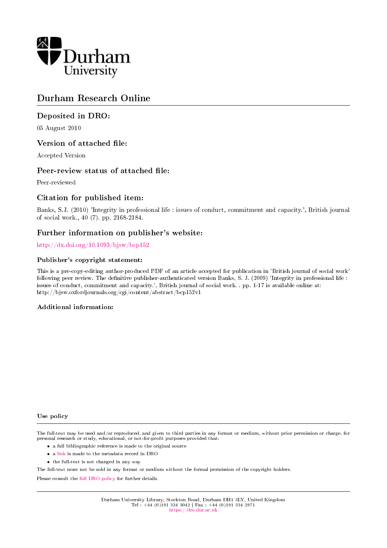

# Durham Research Online

### Deposited in DRO:

05 August 2010

### Version of attached file:

Accepted Version

### Peer-review status of attached file:

Peer-reviewed

### Citation for published item:

Banks, S.J. (2010) 'Integrity in professional life : issues of conduct, commitment and capacity.', British journal of social work., 40 (7). pp. 2168-2184.

### Further information on publisher's website:

<http://dx.doi.org/10.1093/bjsw/bcp152>

#### Publisher's copyright statement:

This is a pre-copy-editing author-produced PDF of an article accepted for publication in 'British journal of social work' following peer review. The definitive publisher-authenticated version Banks, S. J. (2009) 'Integrity in professional life : issues of conduct, commitment and capacity.', British journal of social work. . pp. 1-17 is available online at: http://bjsw.oxfordjournals.org/cgi/content/abstract/bcp152v1

#### Additional information:

#### Use policy

The full-text may be used and/or reproduced, and given to third parties in any format or medium, without prior permission or charge, for personal research or study, educational, or not-for-profit purposes provided that:

- a full bibliographic reference is made to the original source
- a [link](http://dro.dur.ac.uk/6356/) is made to the metadata record in DRO
- the full-text is not changed in any way

The full-text must not be sold in any format or medium without the formal permission of the copyright holders.

Please consult the [full DRO policy](https://dro.dur.ac.uk/policies/usepolicy.pdf) for further details.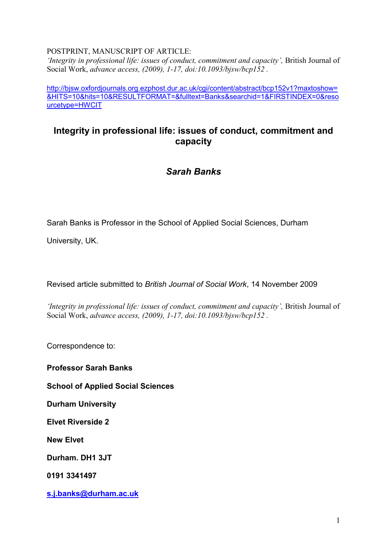### POSTPRINT, MANUSCRIPT OF ARTICLE:

*'Integrity in professional life: issues of conduct, commitment and capacity',* British Journal of Social Work, *advance access, (2009), 1-17, doi:10.1093/bjsw/bcp152 .*

[http://bjsw.oxfordjournals.org.ezphost.dur.ac.uk/cgi/content/abstract/bcp152v1?maxtoshow=](http://bjsw.oxfordjournals.org.ezphost.dur.ac.uk/cgi/content/abstract/bcp152v1?maxtoshow=&HITS=10&hits=10&RESULTFORMAT=&fulltext=Banks&searchid=1&FIRSTINDEX=0&resourcetype=HWCIT) [&HITS=10&hits=10&RESULTFORMAT=&fulltext=Banks&searchid=1&FIRSTINDEX=0&reso](http://bjsw.oxfordjournals.org.ezphost.dur.ac.uk/cgi/content/abstract/bcp152v1?maxtoshow=&HITS=10&hits=10&RESULTFORMAT=&fulltext=Banks&searchid=1&FIRSTINDEX=0&resourcetype=HWCIT) [urcetype=HWCIT](http://bjsw.oxfordjournals.org.ezphost.dur.ac.uk/cgi/content/abstract/bcp152v1?maxtoshow=&HITS=10&hits=10&RESULTFORMAT=&fulltext=Banks&searchid=1&FIRSTINDEX=0&resourcetype=HWCIT)

# **Integrity in professional life: issues of conduct, commitment and capacity**

# *Sarah Banks*

Sarah Banks is Professor in the School of Applied Social Sciences, Durham

University, UK.

Revised article submitted to *British Journal of Social Work*, 14 November 2009

*'Integrity in professional life: issues of conduct, commitment and capacity',* British Journal of Social Work, *advance access, (2009), 1-17, doi:10.1093/bjsw/bcp152 .*

Correspondence to:

### **Professor Sarah Banks**

**School of Applied Social Sciences**

**Durham University**

**Elvet Riverside 2**

**New Elvet**

**Durham. DH1 3JT**

**0191 3341497**

**[s.j.banks@durham.ac.uk](mailto:s.j.banks@durham.ac.uk)**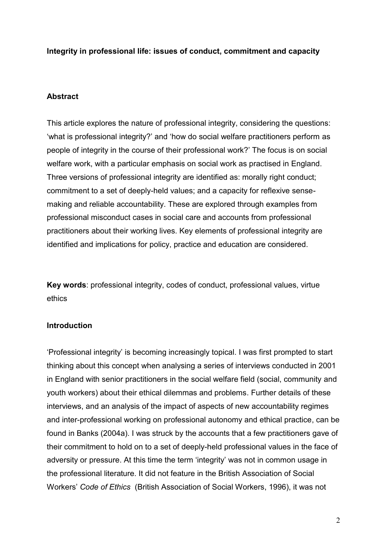**Integrity in professional life: issues of conduct, commitment and capacity**

### **Abstract**

This article explores the nature of professional integrity, considering the questions: "what is professional integrity?" and "how do social welfare practitioners perform as people of integrity in the course of their professional work?" The focus is on social welfare work, with a particular emphasis on social work as practised in England. Three versions of professional integrity are identified as: morally right conduct; commitment to a set of deeply-held values; and a capacity for reflexive sensemaking and reliable accountability. These are explored through examples from professional misconduct cases in social care and accounts from professional practitioners about their working lives. Key elements of professional integrity are identified and implications for policy, practice and education are considered.

**Key words**: professional integrity, codes of conduct, professional values, virtue ethics

### **Introduction**

"Professional integrity" is becoming increasingly topical. I was first prompted to start thinking about this concept when analysing a series of interviews conducted in 2001 in England with senior practitioners in the social welfare field (social, community and youth workers) about their ethical dilemmas and problems. Further details of these interviews, and an analysis of the impact of aspects of new accountability regimes and inter-professional working on professional autonomy and ethical practice, can be found in Banks (2004a). I was struck by the accounts that a few practitioners gave of their commitment to hold on to a set of deeply-held professional values in the face of adversity or pressure. At this time the term "integrity" was not in common usage in the professional literature. It did not feature in the British Association of Social Workers" *Code of Ethics* (British Association of Social Workers, 1996), it was not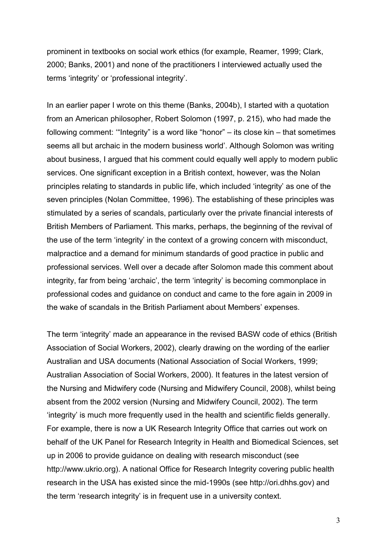prominent in textbooks on social work ethics (for example, Reamer, 1999; Clark, 2000; Banks, 2001) and none of the practitioners I interviewed actually used the terms "integrity" or "professional integrity".

In an earlier paper I wrote on this theme (Banks, 2004b), I started with a quotation from an American philosopher, Robert Solomon (1997, p. 215), who had made the following comment: ""Integrity" is a word like "honor" – its close kin – that sometimes seems all but archaic in the modern business world". Although Solomon was writing about business, I argued that his comment could equally well apply to modern public services. One significant exception in a British context, however, was the Nolan principles relating to standards in public life, which included "integrity" as one of the seven principles (Nolan Committee, 1996). The establishing of these principles was stimulated by a series of scandals, particularly over the private financial interests of British Members of Parliament. This marks, perhaps, the beginning of the revival of the use of the term "integrity" in the context of a growing concern with misconduct, malpractice and a demand for minimum standards of good practice in public and professional services. Well over a decade after Solomon made this comment about integrity, far from being "archaic", the term "integrity" is becoming commonplace in professional codes and guidance on conduct and came to the fore again in 2009 in the wake of scandals in the British Parliament about Members' expenses.

The term "integrity" made an appearance in the revised BASW code of ethics (British Association of Social Workers, 2002), clearly drawing on the wording of the earlier Australian and USA documents (National Association of Social Workers, 1999; Australian Association of Social Workers, 2000). It features in the latest version of the Nursing and Midwifery code (Nursing and Midwifery Council, 2008), whilst being absent from the 2002 version (Nursing and Midwifery Council, 2002). The term 'integrity' is much more frequently used in the health and scientific fields generally. For example, there is now a UK Research Integrity Office that carries out work on behalf of the UK Panel for Research Integrity in Health and Biomedical Sciences, set up in 2006 to provide guidance on dealing with research misconduct (see http://www.ukrio.org). A national Office for Research Integrity covering public health research in the USA has existed since the mid-1990s (see http://ori.dhhs.gov) and the term "research integrity" is in frequent use in a university context.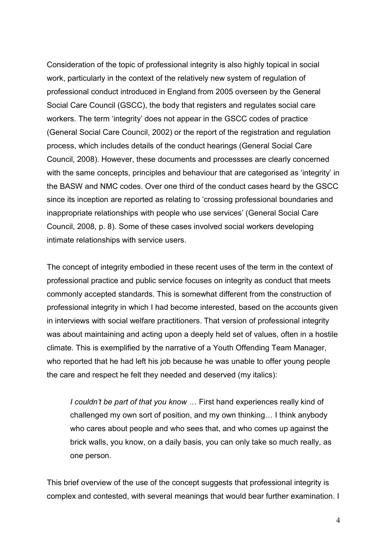Consideration of the topic of professional integrity is also highly topical in social work, particularly in the context of the relatively new system of regulation of professional conduct introduced in England from 2005 overseen by the General Social Care Council (GSCC), the body that registers and regulates social care workers. The term "integrity" does not appear in the GSCC codes of practice (General Social Care Council, 2002) or the report of the registration and regulation process, which includes details of the conduct hearings (General Social Care Council, 2008). However, these documents and processses are clearly concerned with the same concepts, principles and behaviour that are categorised as 'integrity' in the BASW and NMC codes. Over one third of the conduct cases heard by the GSCC since its inception are reported as relating to 'crossing professional boundaries and inappropriate relationships with people who use services" (General Social Care Council, 2008, p. 8). Some of these cases involved social workers developing intimate relationships with service users.

The concept of integrity embodied in these recent uses of the term in the context of professional practice and public service focuses on integrity as conduct that meets commonly accepted standards. This is somewhat different from the construction of professional integrity in which I had become interested, based on the accounts given in interviews with social welfare practitioners. That version of professional integrity was about maintaining and acting upon a deeply held set of values, often in a hostile climate. This is exemplified by the narrative of a Youth Offending Team Manager, who reported that he had left his job because he was unable to offer young people the care and respect he felt they needed and deserved (my italics):

*I couldn't be part of that you know* … First hand experiences really kind of challenged my own sort of position, and my own thinking… I think anybody who cares about people and who sees that, and who comes up against the brick walls, you know, on a daily basis, you can only take so much really, as one person.

This brief overview of the use of the concept suggests that professional integrity is complex and contested, with several meanings that would bear further examination. I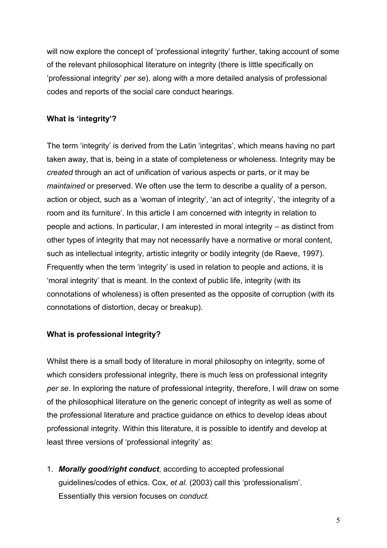will now explore the concept of 'professional integrity' further, taking account of some of the relevant philosophical literature on integrity (there is little specifically on "professional integrity" *per se*), along with a more detailed analysis of professional codes and reports of the social care conduct hearings.

## **What is 'integrity'?**

The term 'integrity' is derived from the Latin 'integritas', which means having no part taken away, that is, being in a state of completeness or wholeness. Integrity may be *created* through an act of unification of various aspects or parts, or it may be *maintained* or preserved. We often use the term to describe a quality of a person, action or object, such as a 'woman of integrity', 'an act of integrity', 'the integrity of a room and its furniture". In this article I am concerned with integrity in relation to people and actions. In particular, I am interested in moral integrity – as distinct from other types of integrity that may not necessarily have a normative or moral content, such as intellectual integrity, artistic integrity or bodily integrity (de Raeve, 1997). Frequently when the term "integrity" is used in relation to people and actions, it is "moral integrity" that is meant. In the context of public life, integrity (with its connotations of wholeness) is often presented as the opposite of corruption (with its connotations of distortion, decay or breakup).

### **What is professional integrity?**

Whilst there is a small body of literature in moral philosophy on integrity, some of which considers professional integrity, there is much less on professional integrity *per se*. In exploring the nature of professional integrity, therefore, I will draw on some of the philosophical literature on the generic concept of integrity as well as some of the professional literature and practice guidance on ethics to develop ideas about professional integrity. Within this literature, it is possible to identify and develop at least three versions of 'professional integrity' as:

1. *Morally good/right conduct*, according to accepted professional guidelines/codes of ethics. Cox, *et al.* (2003) call this "professionalism". Essentially this version focuses on *conduct.*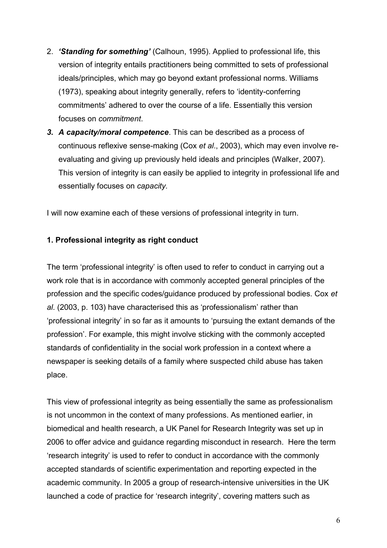- 2. *'Standing for something'* (Calhoun, 1995). Applied to professional life, this version of integrity entails practitioners being committed to sets of professional ideals/principles, which may go beyond extant professional norms. Williams (1973), speaking about integrity generally, refers to "identity-conferring commitments" adhered to over the course of a life. Essentially this version focuses on *commitment*.
- *3. A capacity/moral competence*. This can be described as a process of continuous reflexive sense-making (Cox *et al*., 2003), which may even involve reevaluating and giving up previously held ideals and principles (Walker, 2007). This version of integrity is can easily be applied to integrity in professional life and essentially focuses on *capacity.*

I will now examine each of these versions of professional integrity in turn.

### **1. Professional integrity as right conduct**

The term "professional integrity" is often used to refer to conduct in carrying out a work role that is in accordance with commonly accepted general principles of the profession and the specific codes/guidance produced by professional bodies. Cox *et al*. (2003, p. 103) have characterised this as "professionalism" rather than "professional integrity" in so far as it amounts to "pursuing the extant demands of the profession". For example, this might involve sticking with the commonly accepted standards of confidentiality in the social work profession in a context where a newspaper is seeking details of a family where suspected child abuse has taken place.

This view of professional integrity as being essentially the same as professionalism is not uncommon in the context of many professions. As mentioned earlier, in biomedical and health research, a UK Panel for Research Integrity was set up in 2006 to offer advice and guidance regarding misconduct in research. Here the term "research integrity" is used to refer to conduct in accordance with the commonly accepted standards of scientific experimentation and reporting expected in the academic community. In 2005 a group of research-intensive universities in the UK launched a code of practice for "research integrity", covering matters such as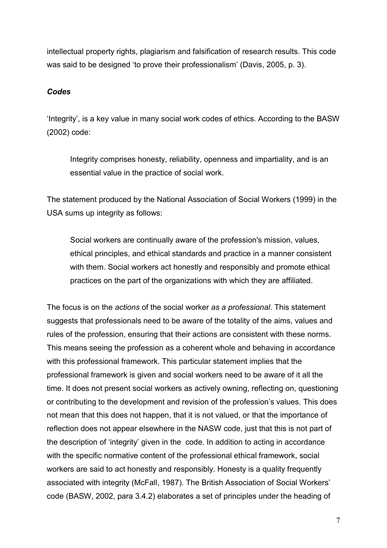intellectual property rights, plagiarism and falsification of research results. This code was said to be designed "to prove their professionalism" (Davis, 2005, p. 3).

### *Codes*

"Integrity", is a key value in many social work codes of ethics. According to the BASW (2002) code:

Integrity comprises honesty, reliability, openness and impartiality, and is an essential value in the practice of social work.

The statement produced by the National Association of Social Workers (1999) in the USA sums up integrity as follows:

Social workers are continually aware of the profession's mission, values, ethical principles, and ethical standards and practice in a manner consistent with them. Social workers act honestly and responsibly and promote ethical practices on the part of the organizations with which they are affiliated.

The focus is on the *actions* of the social worker *as a professional*. This statement suggests that professionals need to be aware of the totality of the aims, values and rules of the profession, ensuring that their actions are consistent with these norms. This means seeing the profession as a coherent whole and behaving in accordance with this professional framework. This particular statement implies that the professional framework is given and social workers need to be aware of it all the time. It does not present social workers as actively owning, reflecting on, questioning or contributing to the development and revision of the profession"s values. This does not mean that this does not happen, that it is not valued, or that the importance of reflection does not appear elsewhere in the NASW code, just that this is not part of the description of "integrity" given in the code. In addition to acting in accordance with the specific normative content of the professional ethical framework, social workers are said to act honestly and responsibly. Honesty is a quality frequently associated with integrity (McFall, 1987). The British Association of Social Workers" code (BASW, 2002, para 3.4.2) elaborates a set of principles under the heading of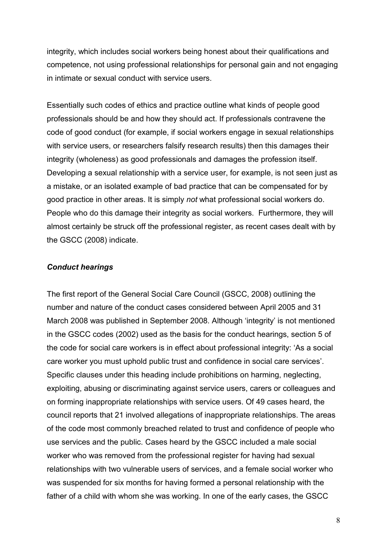integrity, which includes social workers being honest about their qualifications and competence, not using professional relationships for personal gain and not engaging in intimate or sexual conduct with service users.

Essentially such codes of ethics and practice outline what kinds of people good professionals should be and how they should act. If professionals contravene the code of good conduct (for example, if social workers engage in sexual relationships with service users, or researchers falsify research results) then this damages their integrity (wholeness) as good professionals and damages the profession itself. Developing a sexual relationship with a service user, for example, is not seen just as a mistake, or an isolated example of bad practice that can be compensated for by good practice in other areas. It is simply *not* what professional social workers do. People who do this damage their integrity as social workers. Furthermore, they will almost certainly be struck off the professional register, as recent cases dealt with by the GSCC (2008) indicate.

### *Conduct hearings*

The first report of the General Social Care Council (GSCC, 2008) outlining the number and nature of the conduct cases considered between April 2005 and 31 March 2008 was published in September 2008. Although "integrity" is not mentioned in the GSCC codes (2002) used as the basis for the conduct hearings, section 5 of the code for social care workers is in effect about professional integrity: "As a social care worker you must uphold public trust and confidence in social care services". Specific clauses under this heading include prohibitions on harming, neglecting, exploiting, abusing or discriminating against service users, carers or colleagues and on forming inappropriate relationships with service users. Of 49 cases heard, the council reports that 21 involved allegations of inappropriate relationships. The areas of the code most commonly breached related to trust and confidence of people who use services and the public. Cases heard by the GSCC included a male social worker who was removed from the professional register for having had sexual relationships with two vulnerable users of services, and a female social worker who was suspended for six months for having formed a personal relationship with the father of a child with whom she was working. In one of the early cases, the GSCC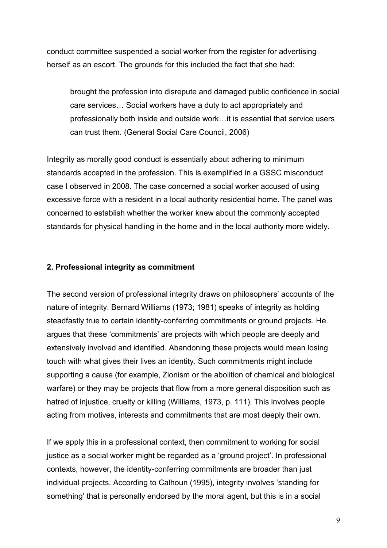conduct committee suspended a social worker from the register for advertising herself as an escort. The grounds for this included the fact that she had:

brought the profession into disrepute and damaged public confidence in social care services… Social workers have a duty to act appropriately and professionally both inside and outside work…it is essential that service users can trust them. (General Social Care Council, 2006)

Integrity as morally good conduct is essentially about adhering to minimum standards accepted in the profession. This is exemplified in a GSSC misconduct case I observed in 2008. The case concerned a social worker accused of using excessive force with a resident in a local authority residential home. The panel was concerned to establish whether the worker knew about the commonly accepted standards for physical handling in the home and in the local authority more widely.

### **2. Professional integrity as commitment**

The second version of professional integrity draws on philosophers' accounts of the nature of integrity. Bernard Williams (1973; 1981) speaks of integrity as holding steadfastly true to certain identity-conferring commitments or ground projects. He argues that these "commitments" are projects with which people are deeply and extensively involved and identified. Abandoning these projects would mean losing touch with what gives their lives an identity. Such commitments might include supporting a cause (for example, Zionism or the abolition of chemical and biological warfare) or they may be projects that flow from a more general disposition such as hatred of injustice, cruelty or killing (Williams, 1973, p. 111). This involves people acting from motives, interests and commitments that are most deeply their own.

If we apply this in a professional context, then commitment to working for social justice as a social worker might be regarded as a "ground project". In professional contexts, however, the identity-conferring commitments are broader than just individual projects. According to Calhoun (1995), integrity involves "standing for something" that is personally endorsed by the moral agent, but this is in a social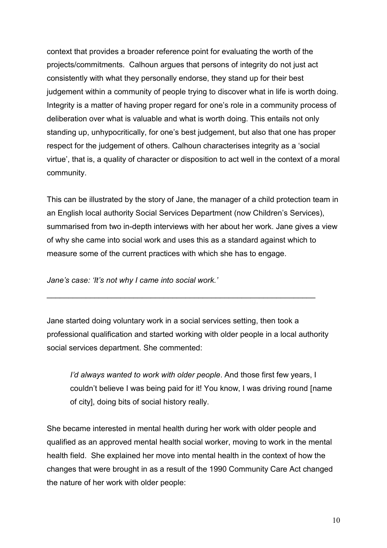context that provides a broader reference point for evaluating the worth of the projects/commitments. Calhoun argues that persons of integrity do not just act consistently with what they personally endorse, they stand up for their best judgement within a community of people trying to discover what in life is worth doing. Integrity is a matter of having proper regard for one"s role in a community process of deliberation over what is valuable and what is worth doing. This entails not only standing up, unhypocritically, for one"s best judgement, but also that one has proper respect for the judgement of others. Calhoun characterises integrity as a "social virtue", that is, a quality of character or disposition to act well in the context of a moral community.

This can be illustrated by the story of Jane, the manager of a child protection team in an English local authority Social Services Department (now Children"s Services), summarised from two in-depth interviews with her about her work. Jane gives a view of why she came into social work and uses this as a standard against which to measure some of the current practices with which she has to engage.

*Jane's case: 'It's not why I came into social work.'* 

Jane started doing voluntary work in a social services setting, then took a professional qualification and started working with older people in a local authority social services department. She commented:

\_\_\_\_\_\_\_\_\_\_\_\_\_\_\_\_\_\_\_\_\_\_\_\_\_\_\_\_\_\_\_\_\_\_\_\_\_\_\_\_\_\_\_\_\_\_\_\_\_\_\_\_\_\_\_\_\_\_\_\_\_\_

*I'd always wanted to work with older people*. And those first few years, I couldn"t believe I was being paid for it! You know, I was driving round [name of city], doing bits of social history really.

She became interested in mental health during her work with older people and qualified as an approved mental health social worker, moving to work in the mental health field. She explained her move into mental health in the context of how the changes that were brought in as a result of the 1990 Community Care Act changed the nature of her work with older people: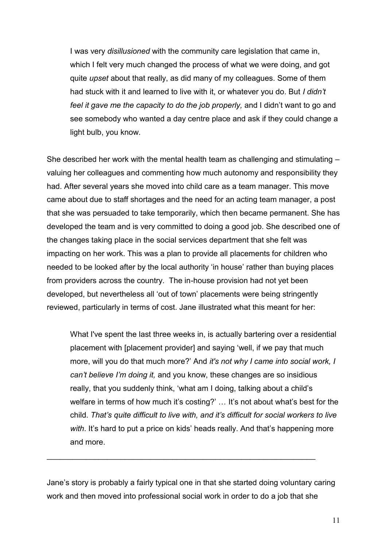I was very *disillusioned* with the community care legislation that came in, which I felt very much changed the process of what we were doing, and got quite *upset* about that really, as did many of my colleagues. Some of them had stuck with it and learned to live with it, or whatever you do. But *I didn't feel it gave me the capacity to do the job properly,* and I didn"t want to go and see somebody who wanted a day centre place and ask if they could change a light bulb, you know.

She described her work with the mental health team as challenging and stimulating – valuing her colleagues and commenting how much autonomy and responsibility they had. After several years she moved into child care as a team manager. This move came about due to staff shortages and the need for an acting team manager, a post that she was persuaded to take temporarily, which then became permanent. She has developed the team and is very committed to doing a good job. She described one of the changes taking place in the social services department that she felt was impacting on her work. This was a plan to provide all placements for children who needed to be looked after by the local authority 'in house' rather than buying places from providers across the country. The in-house provision had not yet been developed, but nevertheless all "out of town" placements were being stringently reviewed, particularly in terms of cost. Jane illustrated what this meant for her:

What I've spent the last three weeks in, is actually bartering over a residential placement with [placement provider] and saying "well, if we pay that much more, will you do that much more?" And *it's not why I came into social work, I can't believe I'm doing it,* and you know, these changes are so insidious really, that you suddenly think, "what am I doing, talking about a child"s welfare in terms of how much it's costing?' ... It's not about what's best for the child. *That's quite difficult to live with, and it's difficult for social workers to live*  with. It's hard to put a price on kids' heads really. And that's happening more and more.

Jane"s story is probably a fairly typical one in that she started doing voluntary caring work and then moved into professional social work in order to do a job that she

 $\_$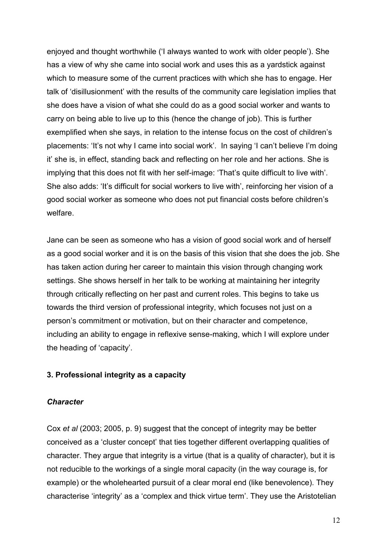enjoyed and thought worthwhile ("I always wanted to work with older people"). She has a view of why she came into social work and uses this as a yardstick against which to measure some of the current practices with which she has to engage. Her talk of "disillusionment" with the results of the community care legislation implies that she does have a vision of what she could do as a good social worker and wants to carry on being able to live up to this (hence the change of job). This is further exemplified when she says, in relation to the intense focus on the cost of children"s placements: 'It's not why I came into social work'. In saying 'I can't believe I'm doing it" she is, in effect, standing back and reflecting on her role and her actions. She is implying that this does not fit with her self-image: "That"s quite difficult to live with". She also adds: 'It's difficult for social workers to live with', reinforcing her vision of a good social worker as someone who does not put financial costs before children"s welfare.

Jane can be seen as someone who has a vision of good social work and of herself as a good social worker and it is on the basis of this vision that she does the job. She has taken action during her career to maintain this vision through changing work settings. She shows herself in her talk to be working at maintaining her integrity through critically reflecting on her past and current roles. This begins to take us towards the third version of professional integrity, which focuses not just on a person"s commitment or motivation, but on their character and competence, including an ability to engage in reflexive sense-making, which I will explore under the heading of 'capacity'.

### **3. Professional integrity as a capacity**

### *Character*

Cox *et al* (2003; 2005, p. 9) suggest that the concept of integrity may be better conceived as a "cluster concept" that ties together different overlapping qualities of character. They argue that integrity is a virtue (that is a quality of character), but it is not reducible to the workings of a single moral capacity (in the way courage is, for example) or the wholehearted pursuit of a clear moral end (like benevolence). They characterise "integrity" as a "complex and thick virtue term". They use the Aristotelian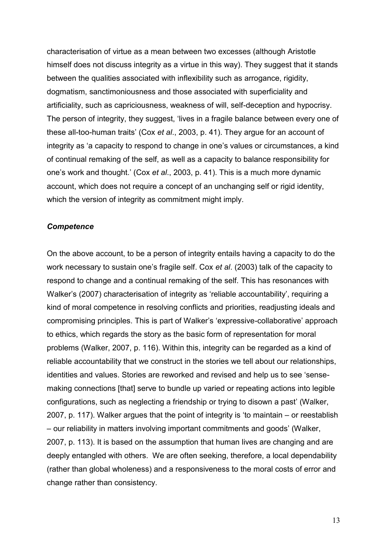characterisation of virtue as a mean between two excesses (although Aristotle himself does not discuss integrity as a virtue in this way). They suggest that it stands between the qualities associated with inflexibility such as arrogance, rigidity, dogmatism, sanctimoniousness and those associated with superficiality and artificiality, such as capriciousness, weakness of will, self-deception and hypocrisy. The person of integrity, they suggest, "lives in a fragile balance between every one of these all-too-human traits" (Cox *et al*., 2003, p. 41). They argue for an account of integrity as 'a capacity to respond to change in one's values or circumstances, a kind of continual remaking of the self, as well as a capacity to balance responsibility for one"s work and thought." (Cox *et al*., 2003, p. 41). This is a much more dynamic account, which does not require a concept of an unchanging self or rigid identity, which the version of integrity as commitment might imply.

### *Competence*

On the above account, to be a person of integrity entails having a capacity to do the work necessary to sustain one"s fragile self. Cox *et al*. (2003) talk of the capacity to respond to change and a continual remaking of the self. This has resonances with Walker's (2007) characterisation of integrity as 'reliable accountability', requiring a kind of moral competence in resolving conflicts and priorities, readjusting ideals and compromising principles. This is part of Walker"s "expressive-collaborative" approach to ethics, which regards the story as the basic form of representation for moral problems (Walker, 2007, p. 116). Within this, integrity can be regarded as a kind of reliable accountability that we construct in the stories we tell about our relationships, identities and values. Stories are reworked and revised and help us to see "sensemaking connections [that] serve to bundle up varied or repeating actions into legible configurations, such as neglecting a friendship or trying to disown a past" (Walker, 2007, p. 117). Walker argues that the point of integrity is "to maintain – or reestablish – our reliability in matters involving important commitments and goods" (Walker, 2007, p. 113). It is based on the assumption that human lives are changing and are deeply entangled with others. We are often seeking, therefore, a local dependability (rather than global wholeness) and a responsiveness to the moral costs of error and change rather than consistency.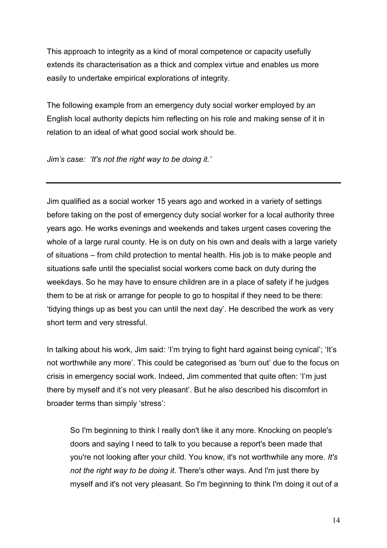This approach to integrity as a kind of moral competence or capacity usefully extends its characterisation as a thick and complex virtue and enables us more easily to undertake empirical explorations of integrity.

The following example from an emergency duty social worker employed by an English local authority depicts him reflecting on his role and making sense of it in relation to an ideal of what good social work should be.

*Jim's case: 'It's not the right way to be doing it.'*

Jim qualified as a social worker 15 years ago and worked in a variety of settings before taking on the post of emergency duty social worker for a local authority three years ago. He works evenings and weekends and takes urgent cases covering the whole of a large rural county. He is on duty on his own and deals with a large variety of situations – from child protection to mental health. His job is to make people and situations safe until the specialist social workers come back on duty during the weekdays. So he may have to ensure children are in a place of safety if he judges them to be at risk or arrange for people to go to hospital if they need to be there: "tidying things up as best you can until the next day". He described the work as very short term and very stressful.

In talking about his work, Jim said: 'I'm trying to fight hard against being cynical'; 'It's not worthwhile any more'. This could be categorised as 'burn out' due to the focus on crisis in emergency social work. Indeed, Jim commented that quite often: "I"m just there by myself and it"s not very pleasant". But he also described his discomfort in broader terms than simply "stress":

So I'm beginning to think I really don't like it any more. Knocking on people's doors and saying I need to talk to you because a report's been made that you're not looking after your child. You know, it's not worthwhile any more. *It's not the right way to be doing it*. There's other ways. And I'm just there by myself and it's not very pleasant. So I'm beginning to think I'm doing it out of a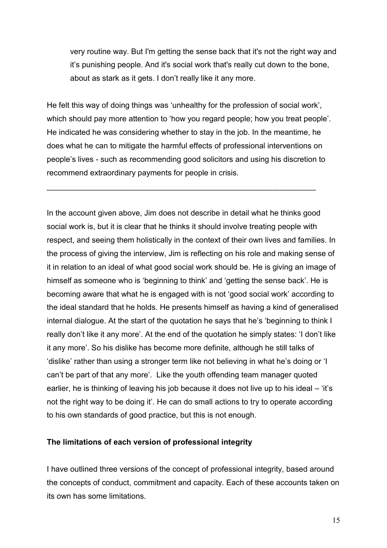very routine way. But I'm getting the sense back that it's not the right way and it"s punishing people. And it's social work that's really cut down to the bone, about as stark as it gets. I don"t really like it any more.

He felt this way of doing things was "unhealthy for the profession of social work", which should pay more attention to 'how you regard people; how you treat people'. He indicated he was considering whether to stay in the job. In the meantime, he does what he can to mitigate the harmful effects of professional interventions on people"s lives - such as recommending good solicitors and using his discretion to recommend extraordinary payments for people in crisis.

 $\_$  . The contract of the contract of the contract of the contract of the contract of the contract of the contract of the contract of the contract of the contract of the contract of the contract of the contract of the con

In the account given above, Jim does not describe in detail what he thinks good social work is, but it is clear that he thinks it should involve treating people with respect, and seeing them holistically in the context of their own lives and families. In the process of giving the interview, Jim is reflecting on his role and making sense of it in relation to an ideal of what good social work should be. He is giving an image of himself as someone who is 'beginning to think' and 'getting the sense back'. He is becoming aware that what he is engaged with is not "good social work" according to the ideal standard that he holds. He presents himself as having a kind of generalised internal dialogue. At the start of the quotation he says that he's 'beginning to think I really don't like it any more'. At the end of the quotation he simply states: 'I don't like it any more'. So his dislike has become more definite, although he still talks of "dislike" rather than using a stronger term like not believing in what he"s doing or "I can"t be part of that any more". Like the youth offending team manager quoted earlier, he is thinking of leaving his job because it does not live up to his ideal – 'it's not the right way to be doing it'. He can do small actions to try to operate according to his own standards of good practice, but this is not enough.

### **The limitations of each version of professional integrity**

I have outlined three versions of the concept of professional integrity, based around the concepts of conduct, commitment and capacity. Each of these accounts taken on its own has some limitations.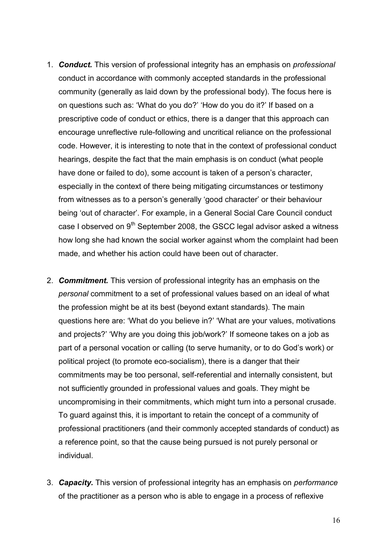- 1. *Conduct.* This version of professional integrity has an emphasis on *professional* conduct in accordance with commonly accepted standards in the professional community (generally as laid down by the professional body). The focus here is on questions such as: "What do you do?" "How do you do it?" If based on a prescriptive code of conduct or ethics, there is a danger that this approach can encourage unreflective rule-following and uncritical reliance on the professional code. However, it is interesting to note that in the context of professional conduct hearings, despite the fact that the main emphasis is on conduct (what people have done or failed to do), some account is taken of a person's character, especially in the context of there being mitigating circumstances or testimony from witnesses as to a person's generally 'good character' or their behaviour being "out of character". For example, in a General Social Care Council conduct case I observed on 9<sup>th</sup> September 2008, the GSCC legal advisor asked a witness how long she had known the social worker against whom the complaint had been made, and whether his action could have been out of character.
- 2. *Commitment.* This version of professional integrity has an emphasis on the *personal* commitment to a set of professional values based on an ideal of what the profession might be at its best (beyond extant standards). The main questions here are: "What do you believe in?" "What are your values, motivations and projects?" "Why are you doing this job/work?" If someone takes on a job as part of a personal vocation or calling (to serve humanity, or to do God"s work) or political project (to promote eco-socialism), there is a danger that their commitments may be too personal, self-referential and internally consistent, but not sufficiently grounded in professional values and goals. They might be uncompromising in their commitments, which might turn into a personal crusade. To guard against this, it is important to retain the concept of a community of professional practitioners (and their commonly accepted standards of conduct) as a reference point, so that the cause being pursued is not purely personal or individual.
- 3. *Capacity.* This version of professional integrity has an emphasis on *performance* of the practitioner as a person who is able to engage in a process of reflexive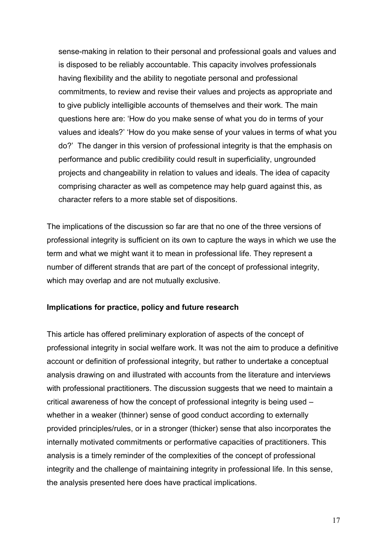sense-making in relation to their personal and professional goals and values and is disposed to be reliably accountable. This capacity involves professionals having flexibility and the ability to negotiate personal and professional commitments, to review and revise their values and projects as appropriate and to give publicly intelligible accounts of themselves and their work. The main questions here are: "How do you make sense of what you do in terms of your values and ideals?" "How do you make sense of your values in terms of what you do?" The danger in this version of professional integrity is that the emphasis on performance and public credibility could result in superficiality, ungrounded projects and changeability in relation to values and ideals. The idea of capacity comprising character as well as competence may help guard against this, as character refers to a more stable set of dispositions.

The implications of the discussion so far are that no one of the three versions of professional integrity is sufficient on its own to capture the ways in which we use the term and what we might want it to mean in professional life. They represent a number of different strands that are part of the concept of professional integrity, which may overlap and are not mutually exclusive.

### **Implications for practice, policy and future research**

This article has offered preliminary exploration of aspects of the concept of professional integrity in social welfare work. It was not the aim to produce a definitive account or definition of professional integrity, but rather to undertake a conceptual analysis drawing on and illustrated with accounts from the literature and interviews with professional practitioners. The discussion suggests that we need to maintain a critical awareness of how the concept of professional integrity is being used – whether in a weaker (thinner) sense of good conduct according to externally provided principles/rules, or in a stronger (thicker) sense that also incorporates the internally motivated commitments or performative capacities of practitioners. This analysis is a timely reminder of the complexities of the concept of professional integrity and the challenge of maintaining integrity in professional life. In this sense, the analysis presented here does have practical implications.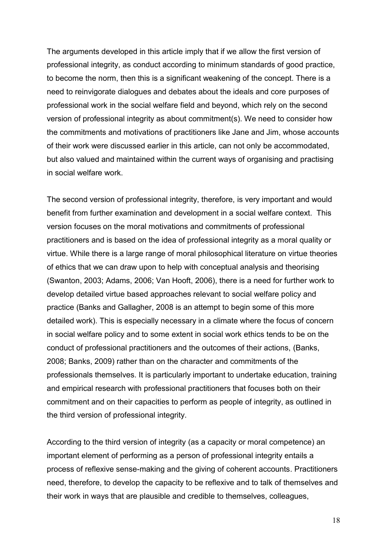The arguments developed in this article imply that if we allow the first version of professional integrity, as conduct according to minimum standards of good practice, to become the norm, then this is a significant weakening of the concept. There is a need to reinvigorate dialogues and debates about the ideals and core purposes of professional work in the social welfare field and beyond, which rely on the second version of professional integrity as about commitment(s). We need to consider how the commitments and motivations of practitioners like Jane and Jim, whose accounts of their work were discussed earlier in this article, can not only be accommodated, but also valued and maintained within the current ways of organising and practising in social welfare work.

The second version of professional integrity, therefore, is very important and would benefit from further examination and development in a social welfare context. This version focuses on the moral motivations and commitments of professional practitioners and is based on the idea of professional integrity as a moral quality or virtue. While there is a large range of moral philosophical literature on virtue theories of ethics that we can draw upon to help with conceptual analysis and theorising (Swanton, 2003; Adams, 2006; Van Hooft, 2006), there is a need for further work to develop detailed virtue based approaches relevant to social welfare policy and practice (Banks and Gallagher, 2008 is an attempt to begin some of this more detailed work). This is especially necessary in a climate where the focus of concern in social welfare policy and to some extent in social work ethics tends to be on the conduct of professional practitioners and the outcomes of their actions, (Banks, 2008; Banks, 2009) rather than on the character and commitments of the professionals themselves. It is particularly important to undertake education, training and empirical research with professional practitioners that focuses both on their commitment and on their capacities to perform as people of integrity, as outlined in the third version of professional integrity.

According to the third version of integrity (as a capacity or moral competence) an important element of performing as a person of professional integrity entails a process of reflexive sense-making and the giving of coherent accounts. Practitioners need, therefore, to develop the capacity to be reflexive and to talk of themselves and their work in ways that are plausible and credible to themselves, colleagues,

18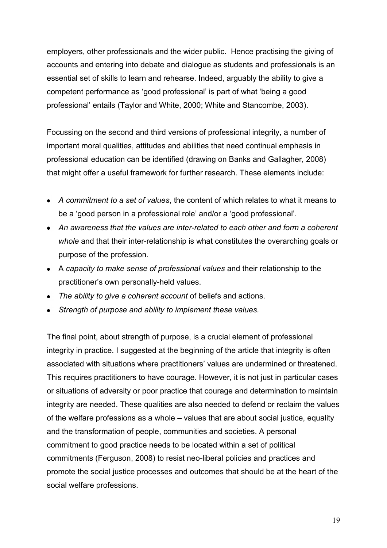employers, other professionals and the wider public. Hence practising the giving of accounts and entering into debate and dialogue as students and professionals is an essential set of skills to learn and rehearse. Indeed, arguably the ability to give a competent performance as "good professional" is part of what "being a good professional" entails (Taylor and White, 2000; White and Stancombe, 2003).

Focussing on the second and third versions of professional integrity, a number of important moral qualities, attitudes and abilities that need continual emphasis in professional education can be identified (drawing on Banks and Gallagher, 2008) that might offer a useful framework for further research. These elements include:

- *A commitment to a set of values*, the content of which relates to what it means to be a 'good person in a professional role' and/or a 'good professional'.
- *An awareness that the values are inter-related to each other and form a coherent whole* and that their inter-relationship is what constitutes the overarching goals or purpose of the profession.
- A *capacity to make sense of professional values* and their relationship to the practitioner"s own personally-held values.
- *The ability to give a coherent account* of beliefs and actions.
- *Strength of purpose and ability to implement these values.*

The final point, about strength of purpose, is a crucial element of professional integrity in practice. I suggested at the beginning of the article that integrity is often associated with situations where practitioners' values are undermined or threatened. This requires practitioners to have courage. However, it is not just in particular cases or situations of adversity or poor practice that courage and determination to maintain integrity are needed. These qualities are also needed to defend or reclaim the values of the welfare professions as a whole – values that are about social justice, equality and the transformation of people, communities and societies. A personal commitment to good practice needs to be located within a set of political commitments (Ferguson, 2008) to resist neo-liberal policies and practices and promote the social justice processes and outcomes that should be at the heart of the social welfare professions.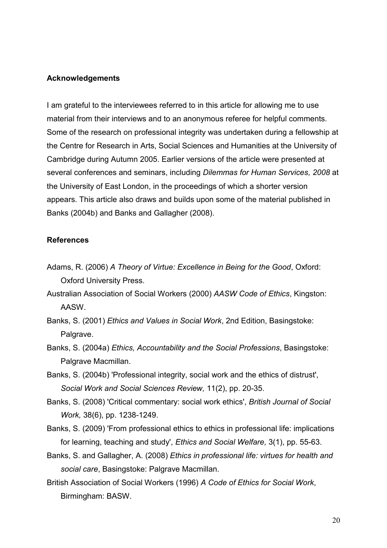#### **Acknowledgements**

I am grateful to the interviewees referred to in this article for allowing me to use material from their interviews and to an anonymous referee for helpful comments. Some of the research on professional integrity was undertaken during a fellowship at the Centre for Research in Arts, Social Sciences and Humanities at the University of Cambridge during Autumn 2005. Earlier versions of the article were presented at several conferences and seminars, including *Dilemmas for Human Services, 2008* at the University of East London, in the proceedings of which a shorter version appears. This article also draws and builds upon some of the material published in Banks (2004b) and Banks and Gallagher (2008).

### **References**

- Adams, R. (2006) *A Theory of Virtue: Excellence in Being for the Good*, Oxford: Oxford University Press.
- Australian Association of Social Workers (2000) *AASW Code of Ethics*, Kingston: AASW.
- Banks, S. (2001) *Ethics and Values in Social Work*, 2nd Edition, Basingstoke: Palgrave.
- Banks, S. (2004a) *Ethics, Accountability and the Social Professions*, Basingstoke: Palgrave Macmillan.
- Banks, S. (2004b) 'Professional integrity, social work and the ethics of distrust', *Social Work and Social Sciences Review,* 11(2), pp. 20-35.
- Banks, S. (2008) 'Critical commentary: social work ethics', *British Journal of Social Work,* 38(6), pp. 1238-1249.
- Banks, S. (2009) 'From professional ethics to ethics in professional life: implications for learning, teaching and study', *Ethics and Social Welfare,* 3(1), pp. 55-63.
- Banks, S. and Gallagher, A. (2008) *Ethics in professional life: virtues for health and social care*, Basingstoke: Palgrave Macmillan.
- British Association of Social Workers (1996) *A Code of Ethics for Social Work*, Birmingham: BASW.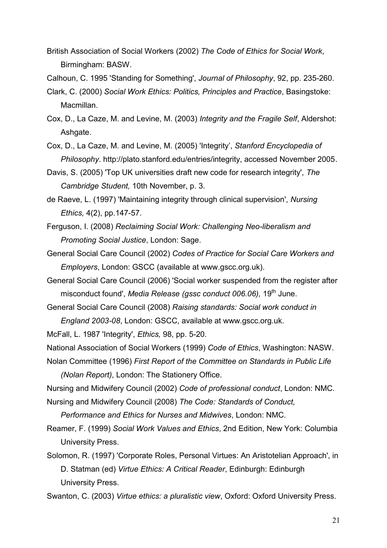- British Association of Social Workers (2002) *The Code of Ethics for Social Work*, Birmingham: BASW.
- Calhoun, C. 1995 'Standing for Something', *Journal of Philosophy*, 92, pp. 235-260.
- Clark, C. (2000) *Social Work Ethics: Politics, Principles and Practice*, Basingstoke: Macmillan.
- Cox, D., La Caze, M. and Levine, M. (2003) *Integrity and the Fragile Self*, Aldershot: Ashgate.
- Cox, D., La Caze, M. and Levine, M. (2005) 'Integrity", *Stanford Encyclopedia of Philosophy*. http://plato.stanford.edu/entries/integrity, accessed November 2005.
- Davis, S. (2005) 'Top UK universities draft new code for research integrity', *The Cambridge Student,* 10th November, p. 3.
- de Raeve, L. (1997) 'Maintaining integrity through clinical supervision', *Nursing Ethics,* 4(2), pp.147-57.
- Ferguson, I. (2008) *Reclaiming Social Work: Challenging Neo-liberalism and Promoting Social Justice*, London: Sage.
- General Social Care Council (2002) *Codes of Practice for Social Care Workers and Employers*, London: GSCC (available at www.gscc.org.uk).
- General Social Care Council (2006) 'Social worker suspended from the register after misconduct found', *Media Release (gssc conduct 006.06)*, 19<sup>th</sup> June.
- General Social Care Council (2008) *Raising standards: Social work conduct in England 2003-08*, London: GSCC, available at www.gscc.org.uk.
- McFall, L. 1987 'Integrity', *Ethics,* 98, pp. 5-20.
- National Association of Social Workers (1999) *Code of Ethics*, Washington: NASW.
- Nolan Committee (1996) *First Report of the Committee on Standards in Public Life (Nolan Report)*, London: The Stationery Office.

Nursing and Midwifery Council (2002) *Code of professional conduct*, London: NMC.

Nursing and Midwifery Council (2008) *The Code: Standards of Conduct,* 

*Performance and Ethics for Nurses and Midwives*, London: NMC.

- Reamer, F. (1999) *Social Work Values and Ethics*, 2nd Edition, New York: Columbia University Press.
- Solomon, R. (1997) 'Corporate Roles, Personal Virtues: An Aristotelian Approach', in D. Statman (ed) *Virtue Ethics: A Critical Reader*, Edinburgh: Edinburgh University Press.

Swanton, C. (2003) *Virtue ethics: a pluralistic view*, Oxford: Oxford University Press.